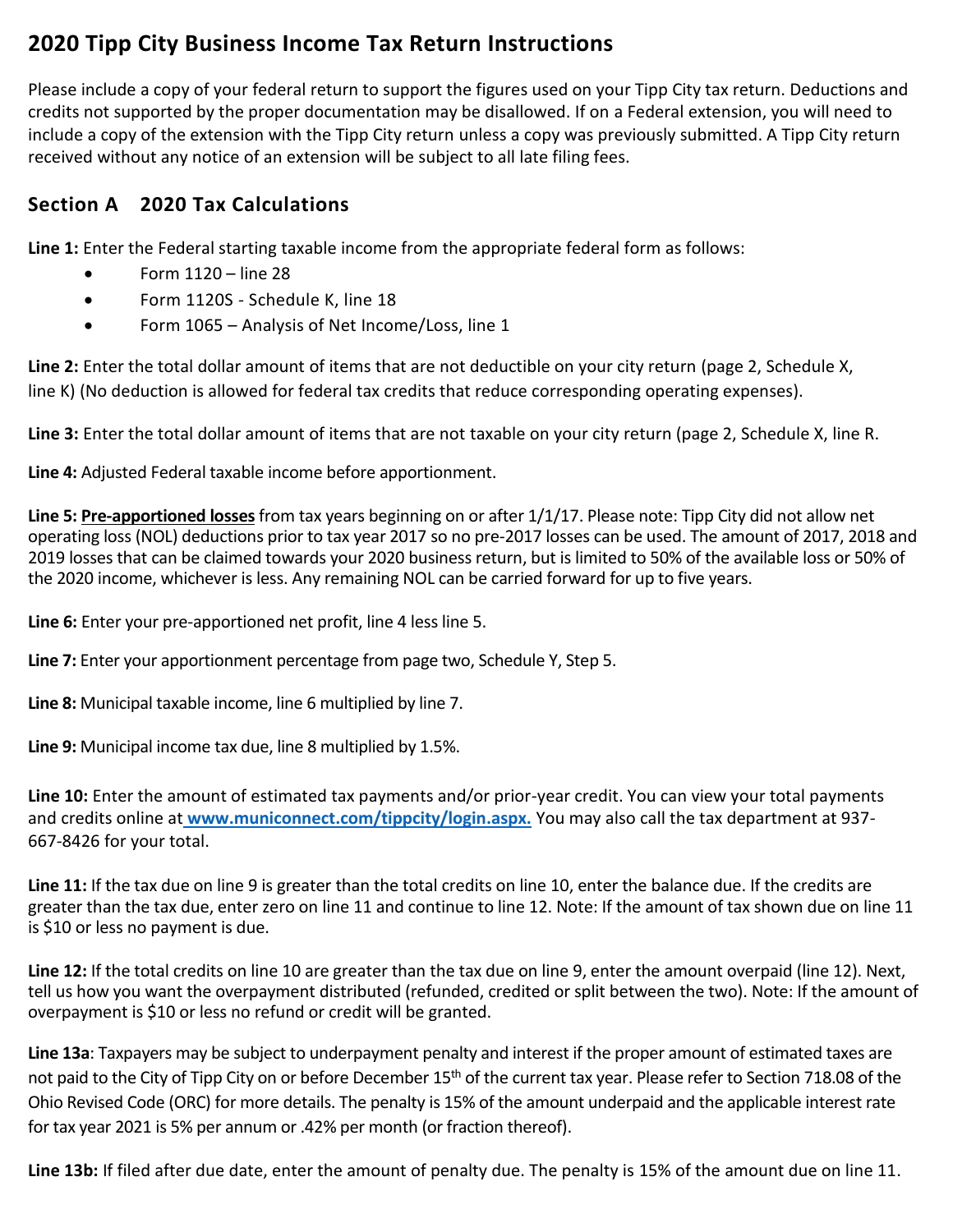## **2020 Tipp City Business Income Tax Return Instructions**

Please include a copy of your federal return to support the figures used on your Tipp City tax return. Deductions and credits not supported by the proper documentation may be disallowed. If on a Federal extension, you will need to include a copy of the extension with the Tipp City return unless a copy was previously submitted. A Tipp City return received without any notice of an extension will be subject to all late filing fees.

## **Section A 2020 Tax Calculations**

**Line 1:** Enter the Federal starting taxable income from the appropriate federal form as follows:

- $\bullet$  Form 1120 line 28
- Form 1120S Schedule K, line 18
- Form 1065 Analysis of Net Income/Loss, line 1

**Line 2:** Enter the total dollar amount of items that are not deductible on your city return (page 2, Schedule X, line K) (No deduction is allowed for federal tax credits that reduce corresponding operating expenses).

**Line 3:** Enter the total dollar amount of items that are not taxable on your city return (page 2, Schedule X, line R.

**Line 4:** Adjusted Federal taxable income before apportionment.

**Line 5: Pre-apportioned losses**from tax years beginning on or after 1/1/17. Please note: Tipp City did not allow net operating loss (NOL) deductions prior to tax year 2017 so no pre-2017 losses can be used. The amount of 2017, 2018 and 2019 losses that can be claimed towards your 2020 business return, but is limited to 50% of the available loss or 50% of the 2020 income, whichever is less. Any remaining NOL can be carried forward for up to five years.

**Line 6:** Enter your pre-apportioned net profit, line 4 less line 5.

**Line 7:** Enter your apportionment percentage from page two, Schedule Y, Step 5.

**Line 8:** Municipal taxable income, line 6 multiplied by line 7.

**Line 9:** Municipal income tax due, line 8 multiplied by 1.5%.

**Line 10:** Enter the amount of estimated tax payments and/or prior-year credit. You can view your total payments and credits online at **[www.municonnect.com/tippcity/login.aspx.](http://www.municonnect.com/tippcity/login.aspx.)** You may also call the tax department at 937- 667-8426 for your total.

**Line 11:** If the tax due on line 9 is greater than the total credits on line 10, enter the balance due. If the credits are greater than the tax due, enter zero on line 11 and continue to line 12. Note: If the amount of tax shown due on line 11 is \$10 or less no payment is due.

**Line 12:** If the total credits on line 10 are greater than the tax due on line 9, enter the amount overpaid (line 12). Next, tell us how you want the overpayment distributed (refunded, credited or split between the two). Note: If the amount of overpayment is \$10 or less no refund or credit will be granted.

**Line 13a**: Taxpayers may be subject to underpayment penalty and interest if the proper amount of estimated taxes are not paid to the City of Tipp City on or before December 15<sup>th</sup> of the current tax year. Please refer to Section 718.08 of the Ohio Revised Code (ORC) for more details. The penalty is 15% of the amount underpaid and the applicable interest rate for tax year 2021 is 5% per annum or .42% per month (or fraction thereof).

**Line 13b:** If filed after due date, enter the amount of penalty due. The penalty is 15% of the amount due on line 11.